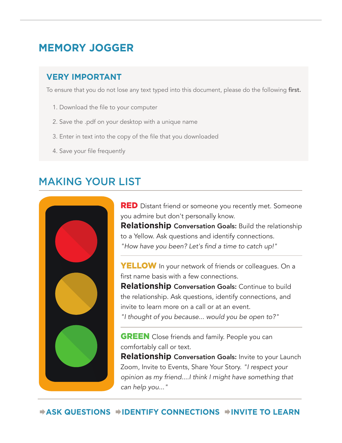### **VERY IMPORTANT**

To ensure that you do not lose any text typed into this document, please do the following first.

- 1. Download the file to your computer
- 2. Save the .pdf on your desktop with a unique name
- 3. Enter in text into the copy of the file that you downloaded
- 4. Save your file frequently

## MAKING YOUR LIST



**RED** Distant friend or someone you recently met. Someone you admire but don't personally know.

**Relationship** Conversation Goals: Build the relationship to a Yellow. Ask questions and identify connections. "How have you been? Let's find a time to catch up!"

**YELLOW** In your network of friends or colleagues. On a first name basis with a few connections.

**Relationship** Conversation Goals: Continue to build the relationship. Ask questions, identify connections, and invite to learn more on a call or at an event.

"I thought of you because... would you be open to?"

**GREEN** Close friends and family. People you can comfortably call or text.

**Relationship** Conversation Goals: Invite to your Launch Zoom, Invite to Events, Share Your Story. "I respect your opinion as my friend....I think I might have something that can help you..."

**ASK QUESTIONS IDENTIFY CONNECTIONS INVITE TO LEARN**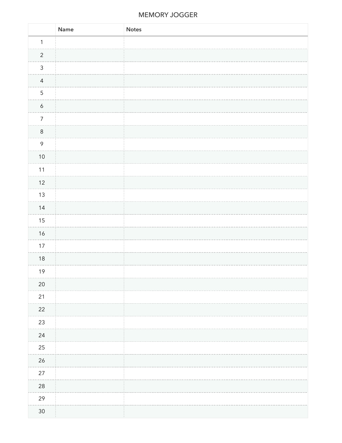|                  | Name | <b>Notes</b> |
|------------------|------|--------------|
| $\mathbf{1}$     |      |              |
| $\overline{c}$   |      |              |
| $\mathfrak{Z}$   |      |              |
| $\overline{4}$   |      |              |
| 5                |      |              |
| $\boldsymbol{6}$ |      |              |
| $\overline{7}$   |      |              |
| $\,8\,$          |      |              |
| $\mathcal{P}$    |      |              |
| $10\,$           |      |              |
| $11$             |      |              |
| 12               |      |              |
| $13$             |      |              |
| $14$             |      |              |
| $15\,$           |      |              |
| $16\,$           |      |              |
| $17\,$           |      |              |
| $18\,$           |      |              |
| 19               |      |              |
| $20\,$           |      |              |
| $21$             |      |              |
| 22               |      |              |
| 23               |      |              |
| 24               |      |              |
| $25\,$           |      |              |
| 26               |      |              |
| $27\,$           |      |              |
| $28\,$           |      |              |
| 29               |      |              |
| $30\,$           |      |              |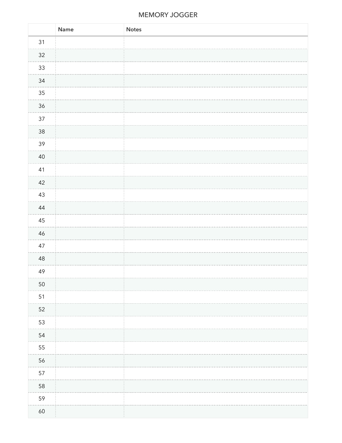|        | Name | <b>Notes</b> |
|--------|------|--------------|
| 31     |      |              |
| $32\,$ |      |              |
| $33\,$ |      |              |
| $34\,$ |      |              |
| $35\,$ |      |              |
| $36\,$ |      |              |
| $37\,$ |      |              |
| $38\,$ |      |              |
| 39     |      |              |
| $40\,$ |      |              |
| 41     |      |              |
| 42     |      |              |
| $43\,$ |      |              |
| 44     |      |              |
| $45\,$ |      |              |
| $46\,$ |      |              |
| 47     |      |              |
| $48\,$ |      |              |
| 49     |      |              |
| 50     |      |              |
| $51$   |      |              |
| 52     |      |              |
| 53     |      |              |
| 54     |      |              |
| 55     |      |              |
| 56     |      |              |
| 57     |      |              |
| 58     |      |              |
| 59     |      |              |
| $60\,$ |      |              |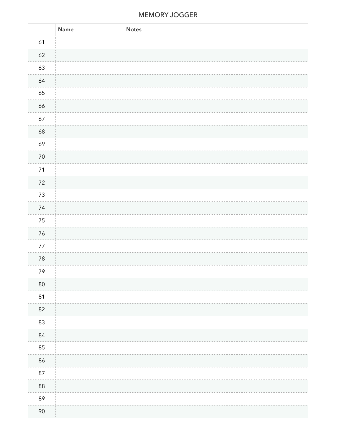|          | Name | Notes |
|----------|------|-------|
| 61       |      |       |
| $62\,$   |      |       |
| 63       |      |       |
| 64       |      |       |
| 65       |      |       |
| 66       |      |       |
| $67\,$   |      |       |
| 68       |      |       |
| 69       |      |       |
| $70\,$   |      |       |
| $71$     |      |       |
| $72\,$   |      |       |
| $73\,$   |      |       |
| $74\,$   |      |       |
| $75\,$   |      |       |
| 76       |      |       |
| $77\,$   |      |       |
| $78\,$   |      |       |
| 79       |      |       |
| $80\,$   |      |       |
| $81\,$   |      |       |
| 82       |      |       |
| 83       |      |       |
| 84       |      |       |
| 85       |      |       |
| 86       |      |       |
| $87\,$   |      |       |
| $\bf 88$ |      |       |
| 89       |      |       |
| $90\,$   |      |       |